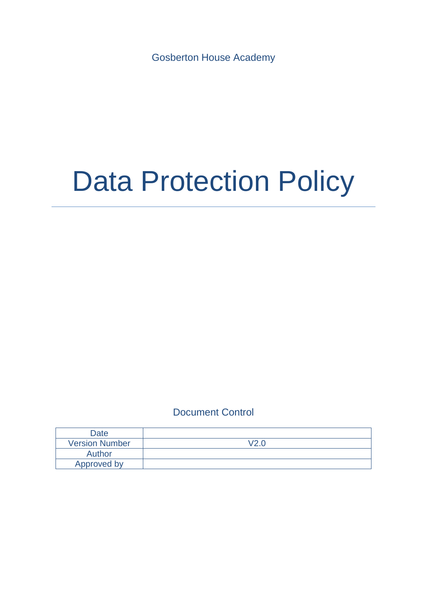Gosberton House Academy

# Data Protection Policy

# Document Control

| Date                  |                  |
|-----------------------|------------------|
| <b>Version Number</b> | $\overline{100}$ |
| Author                |                  |
| Approved by           |                  |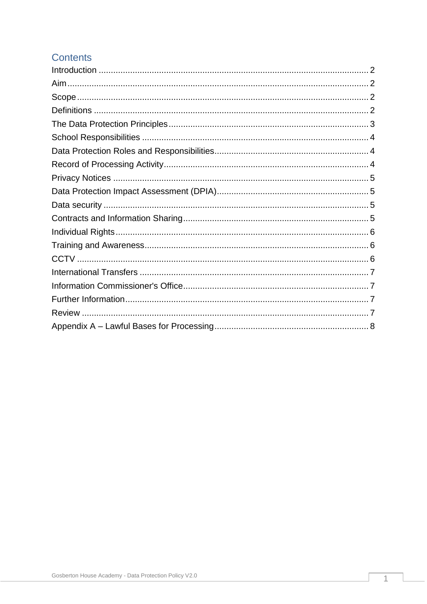# **Contents**

<span id="page-1-0"></span>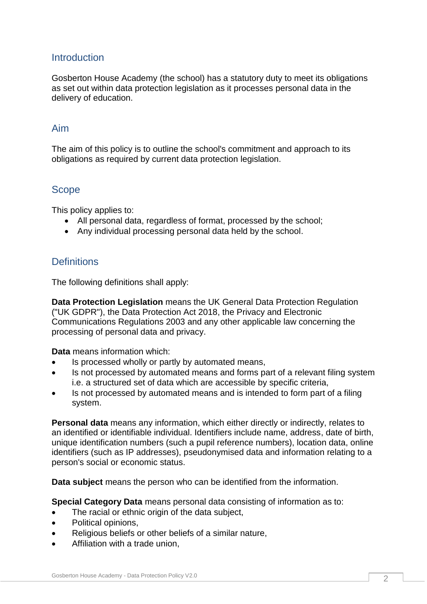## **Introduction**

Gosberton House Academy (the school) has a statutory duty to meet its obligations as set out within data protection legislation as it processes personal data in the delivery of education.

#### <span id="page-2-0"></span>Aim

The aim of this policy is to outline the school's commitment and approach to its obligations as required by current data protection legislation.

#### <span id="page-2-1"></span>Scope

This policy applies to:

- All personal data, regardless of format, processed by the school;
- Any individual processing personal data held by the school.

#### <span id="page-2-2"></span>**Definitions**

The following definitions shall apply:

**Data Protection Legislation** means the UK General Data Protection Regulation ("UK GDPR"), the Data Protection Act 2018, the Privacy and Electronic Communications Regulations 2003 and any other applicable law concerning the processing of personal data and privacy.

**Data** means information which:

- Is processed wholly or partly by automated means,
- Is not processed by automated means and forms part of a relevant filing system i.e. a structured set of data which are accessible by specific criteria,
- Is not processed by automated means and is intended to form part of a filing system.

**Personal data** means any information, which either directly or indirectly, relates to an identified or identifiable individual. Identifiers include name, address, date of birth, unique identification numbers (such a pupil reference numbers), location data, online identifiers (such as IP addresses), pseudonymised data and information relating to a person's social or economic status.

**Data subject** means the person who can be identified from the information.

**Special Category Data** means personal data consisting of information as to:

- The racial or ethnic origin of the data subject,
- Political opinions,
- Religious beliefs or other beliefs of a similar nature,
- Affiliation with a trade union,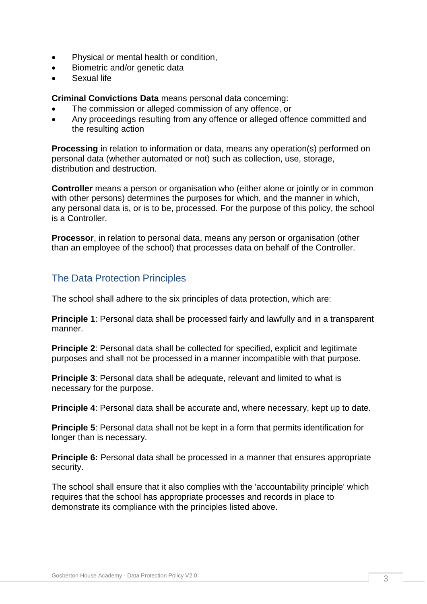- Physical or mental health or condition,
- Biometric and/or genetic data
- Sexual life

**Criminal Convictions Data** means personal data concerning:

- The commission or alleged commission of any offence, or
- Any proceedings resulting from any offence or alleged offence committed and the resulting action

**Processing** in relation to information or data, means any operation(s) performed on personal data (whether automated or not) such as collection, use, storage, distribution and destruction.

**Controller** means a person or organisation who (either alone or jointly or in common with other persons) determines the purposes for which, and the manner in which, any personal data is, or is to be, processed. For the purpose of this policy, the school is a Controller.

**Processor**, in relation to personal data, means any person or organisation (other than an employee of the school) that processes data on behalf of the Controller.

# <span id="page-3-0"></span>The Data Protection Principles

The school shall adhere to the six principles of data protection, which are:

**Principle 1**: Personal data shall be processed fairly and lawfully and in a transparent manner.

**Principle 2**: Personal data shall be collected for specified, explicit and legitimate purposes and shall not be processed in a manner incompatible with that purpose.

**Principle 3**: Personal data shall be adequate, relevant and limited to what is necessary for the purpose.

**Principle 4**: Personal data shall be accurate and, where necessary, kept up to date.

**Principle 5**: Personal data shall not be kept in a form that permits identification for longer than is necessary.

**Principle 6:** Personal data shall be processed in a manner that ensures appropriate security.

The school shall ensure that it also complies with the 'accountability principle' which requires that the school has appropriate processes and records in place to demonstrate its compliance with the principles listed above.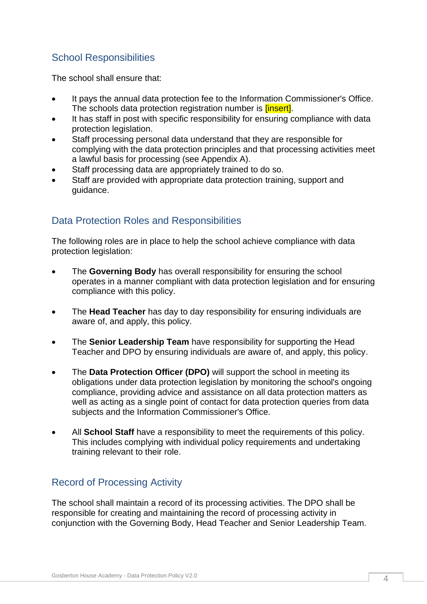# <span id="page-4-0"></span>School Responsibilities

The school shall ensure that:

- It pays the annual data protection fee to the Information Commissioner's Office. The schools data protection registration number is *linsert]*.
- It has staff in post with specific responsibility for ensuring compliance with data protection legislation.
- Staff processing personal data understand that they are responsible for complying with the data protection principles and that processing activities meet a lawful basis for processing (see Appendix A).
- Staff processing data are appropriately trained to do so.
- Staff are provided with appropriate data protection training, support and guidance.

# <span id="page-4-1"></span>Data Protection Roles and Responsibilities

The following roles are in place to help the school achieve compliance with data protection legislation:

- The **Governing Body** has overall responsibility for ensuring the school operates in a manner compliant with data protection legislation and for ensuring compliance with this policy.
- The **Head Teacher** has day to day responsibility for ensuring individuals are aware of, and apply, this policy.
- The **Senior Leadership Team** have responsibility for supporting the Head Teacher and DPO by ensuring individuals are aware of, and apply, this policy.
- The **Data Protection Officer (DPO)** will support the school in meeting its obligations under data protection legislation by monitoring the school's ongoing compliance, providing advice and assistance on all data protection matters as well as acting as a single point of contact for data protection queries from data subjects and the Information Commissioner's Office.
- All **School Staff** have a responsibility to meet the requirements of this policy. This includes complying with individual policy requirements and undertaking training relevant to their role.

# <span id="page-4-2"></span>Record of Processing Activity

The school shall maintain a record of its processing activities. The DPO shall be responsible for creating and maintaining the record of processing activity in conjunction with the Governing Body, Head Teacher and Senior Leadership Team.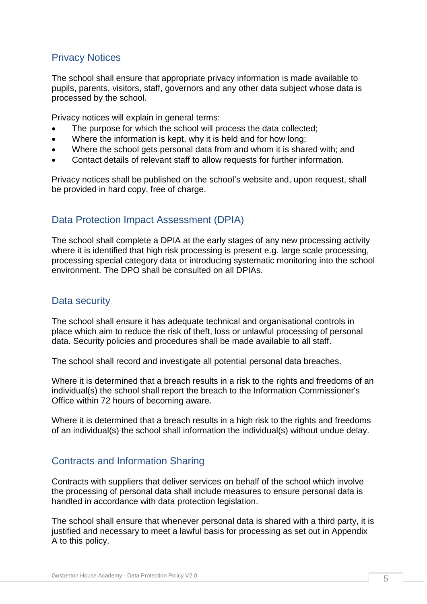## <span id="page-5-0"></span>Privacy Notices

The school shall ensure that appropriate privacy information is made available to pupils, parents, visitors, staff, governors and any other data subject whose data is processed by the school.

Privacy notices will explain in general terms:

- The purpose for which the school will process the data collected;
- Where the information is kept, why it is held and for how long;
- Where the school gets personal data from and whom it is shared with; and
- Contact details of relevant staff to allow requests for further information.

Privacy notices shall be published on the school's website and, upon request, shall be provided in hard copy, free of charge.

## <span id="page-5-1"></span>Data Protection Impact Assessment (DPIA)

The school shall complete a DPIA at the early stages of any new processing activity where it is identified that high risk processing is present e.g. large scale processing, processing special category data or introducing systematic monitoring into the school environment. The DPO shall be consulted on all DPIAs.

## <span id="page-5-2"></span>Data security

The school shall ensure it has adequate technical and organisational controls in place which aim to reduce the risk of theft, loss or unlawful processing of personal data. Security policies and procedures shall be made available to all staff.

The school shall record and investigate all potential personal data breaches.

Where it is determined that a breach results in a risk to the rights and freedoms of an individual(s) the school shall report the breach to the Information Commissioner's Office within 72 hours of becoming aware.

Where it is determined that a breach results in a high risk to the rights and freedoms of an individual(s) the school shall information the individual(s) without undue delay.

## <span id="page-5-3"></span>Contracts and Information Sharing

Contracts with suppliers that deliver services on behalf of the school which involve the processing of personal data shall include measures to ensure personal data is handled in accordance with data protection legislation.

The school shall ensure that whenever personal data is shared with a third party, it is justified and necessary to meet a lawful basis for processing as set out in Appendix A to this policy.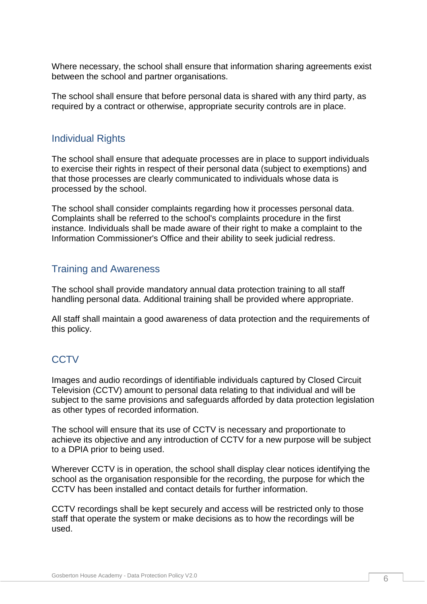Where necessary, the school shall ensure that information sharing agreements exist between the school and partner organisations.

The school shall ensure that before personal data is shared with any third party, as required by a contract or otherwise, appropriate security controls are in place.

#### <span id="page-6-0"></span>Individual Rights

The school shall ensure that adequate processes are in place to support individuals to exercise their rights in respect of their personal data (subject to exemptions) and that those processes are clearly communicated to individuals whose data is processed by the school.

The school shall consider complaints regarding how it processes personal data. Complaints shall be referred to the school's complaints procedure in the first instance. Individuals shall be made aware of their right to make a complaint to the Information Commissioner's Office and their ability to seek judicial redress.

#### <span id="page-6-1"></span>Training and Awareness

The school shall provide mandatory annual data protection training to all staff handling personal data. Additional training shall be provided where appropriate.

All staff shall maintain a good awareness of data protection and the requirements of this policy.

## <span id="page-6-2"></span>**CCTV**

Images and audio recordings of identifiable individuals captured by Closed Circuit Television (CCTV) amount to personal data relating to that individual and will be subject to the same provisions and safeguards afforded by data protection legislation as other types of recorded information.

The school will ensure that its use of CCTV is necessary and proportionate to achieve its objective and any introduction of CCTV for a new purpose will be subject to a DPIA prior to being used.

Wherever CCTV is in operation, the school shall display clear notices identifying the school as the organisation responsible for the recording, the purpose for which the CCTV has been installed and contact details for further information.

CCTV recordings shall be kept securely and access will be restricted only to those staff that operate the system or make decisions as to how the recordings will be used.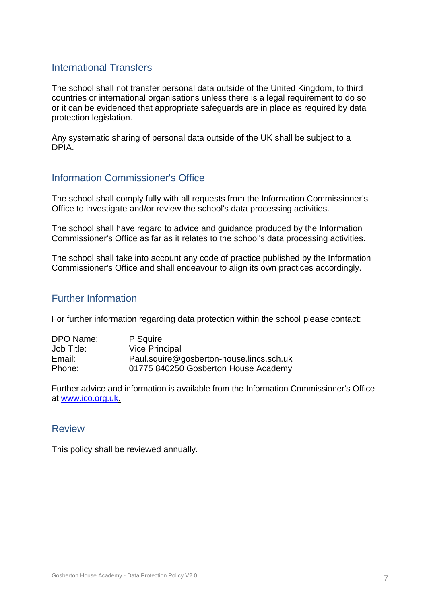## <span id="page-7-0"></span>International Transfers

The school shall not transfer personal data outside of the United Kingdom, to third countries or international organisations unless there is a legal requirement to do so or it can be evidenced that appropriate safeguards are in place as required by data protection legislation.

Any systematic sharing of personal data outside of the UK shall be subject to a DPIA.

#### <span id="page-7-1"></span>Information Commissioner's Office

The school shall comply fully with all requests from the Information Commissioner's Office to investigate and/or review the school's data processing activities.

The school shall have regard to advice and guidance produced by the Information Commissioner's Office as far as it relates to the school's data processing activities.

The school shall take into account any code of practice published by the Information Commissioner's Office and shall endeavour to align its own practices accordingly.

## <span id="page-7-2"></span>Further Information

For further information regarding data protection within the school please contact:

| DPO Name:  | P Squire                                 |
|------------|------------------------------------------|
| Job Title: | <b>Vice Principal</b>                    |
| Email:     | Paul.squire@gosberton-house.lincs.sch.uk |
| Phone:     | 01775 840250 Gosberton House Academy     |
|            |                                          |

Further advice and information is available from the Information Commissioner's Office at [www.ico.org.uk.](http://www.ico.org.uk/)

#### <span id="page-7-3"></span>Review

<span id="page-7-4"></span>This policy shall be reviewed annually.